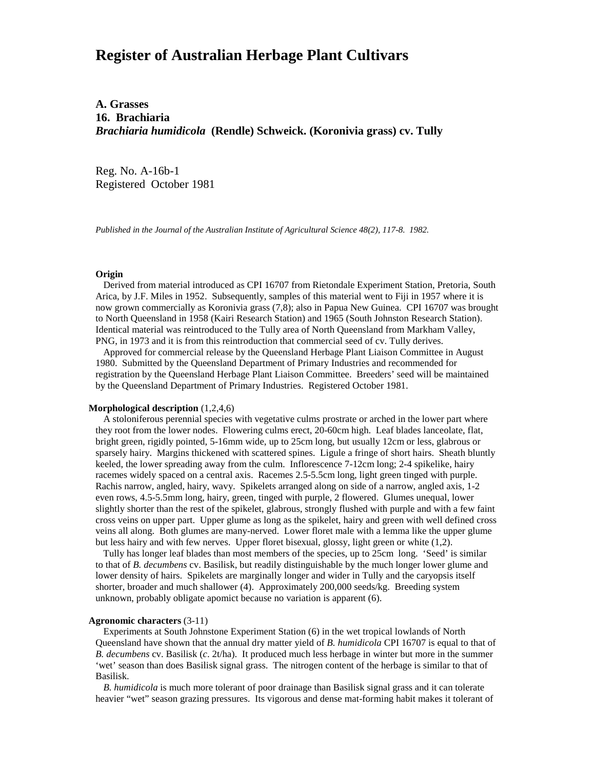# **Register of Australian Herbage Plant Cultivars**

# **A. Grasses 16. Brachiaria** *Brachiaria humidicola* **(Rendle) Schweick. (Koronivia grass) cv. Tully**

Reg. No. A-16b-1 Registered October 1981

*Published in the Journal of the Australian Institute of Agricultural Science 48(2), 117-8. 1982.*

## **Origin**

Derived from material introduced as CPI 16707 from Rietondale Experiment Station, Pretoria, South Arica, by J.F. Miles in 1952. Subsequently, samples of this material went to Fiji in 1957 where it is now grown commercially as Koronivia grass (7,8); also in Papua New Guinea. CPI 16707 was brought to North Queensland in 1958 (Kairi Research Station) and 1965 (South Johnston Research Station). Identical material was reintroduced to the Tully area of North Queensland from Markham Valley, PNG, in 1973 and it is from this reintroduction that commercial seed of cv. Tully derives.

 Approved for commercial release by the Queensland Herbage Plant Liaison Committee in August 1980. Submitted by the Queensland Department of Primary Industries and recommended for registration by the Queensland Herbage Plant Liaison Committee. Breeders' seed will be maintained by the Queensland Department of Primary Industries. Registered October 1981.

# **Morphological description** (1,2,4,6)

 A stoloniferous perennial species with vegetative culms prostrate or arched in the lower part where they root from the lower nodes. Flowering culms erect, 20-60cm high. Leaf blades lanceolate, flat, bright green, rigidly pointed, 5-16mm wide, up to 25cm long, but usually 12cm or less, glabrous or sparsely hairy. Margins thickened with scattered spines. Ligule a fringe of short hairs. Sheath bluntly keeled, the lower spreading away from the culm. Inflorescence 7-12cm long; 2-4 spikelike, hairy racemes widely spaced on a central axis. Racemes 2.5-5.5cm long, light green tinged with purple. Rachis narrow, angled, hairy, wavy. Spikelets arranged along on side of a narrow, angled axis, 1-2 even rows, 4.5-5.5mm long, hairy, green, tinged with purple, 2 flowered. Glumes unequal, lower slightly shorter than the rest of the spikelet, glabrous, strongly flushed with purple and with a few faint cross veins on upper part. Upper glume as long as the spikelet, hairy and green with well defined cross veins all along. Both glumes are many-nerved. Lower floret male with a lemma like the upper glume but less hairy and with few nerves. Upper floret bisexual, glossy, light green or white (1,2).

 Tully has longer leaf blades than most members of the species, up to 25cm long. 'Seed' is similar to that of *B. decumbens* cv. Basilisk, but readily distinguishable by the much longer lower glume and lower density of hairs. Spikelets are marginally longer and wider in Tully and the caryopsis itself shorter, broader and much shallower (4). Approximately 200,000 seeds/kg. Breeding system unknown, probably obligate apomict because no variation is apparent (6).

#### **Agronomic characters** (3-11)

 Experiments at South Johnstone Experiment Station (6) in the wet tropical lowlands of North Queensland have shown that the annual dry matter yield of *B. humidicola* CPI 16707 is equal to that of *B. decumbens* cv. Basilisk (*c*. 2t/ha). It produced much less herbage in winter but more in the summer 'wet' season than does Basilisk signal grass. The nitrogen content of the herbage is similar to that of Basilisk.

 *B. humidicola* is much more tolerant of poor drainage than Basilisk signal grass and it can tolerate heavier "wet" season grazing pressures. Its vigorous and dense mat-forming habit makes it tolerant of